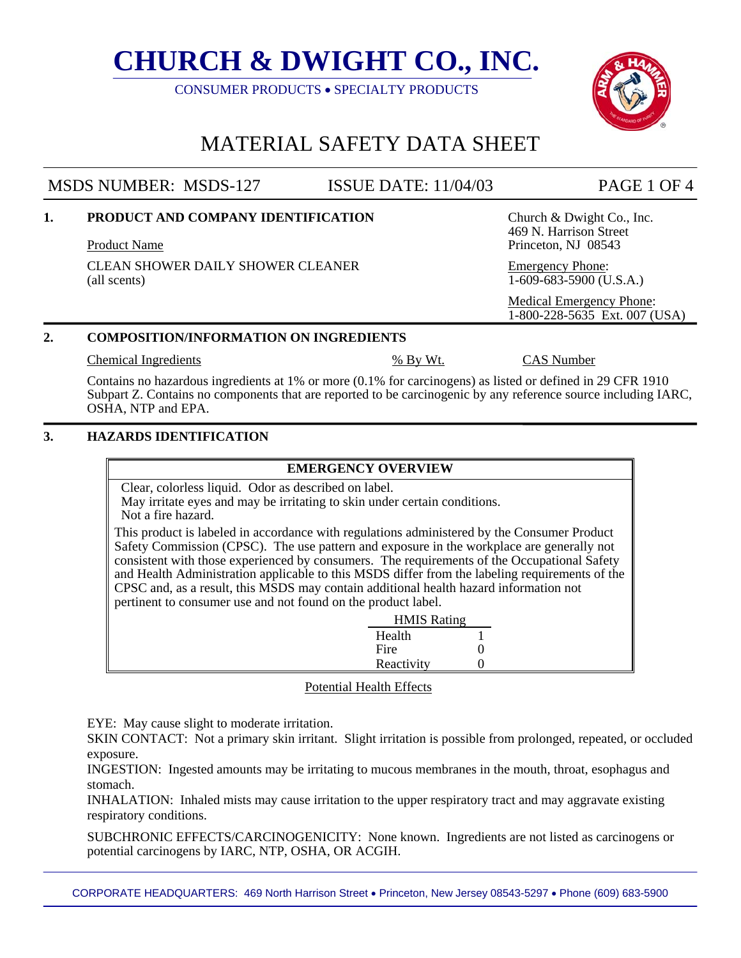CONSUMER PRODUCTS • SPECIALTY PRODUCTS

# MATERIAL SAFETY DATA SHEET

## MSDS NUMBER: MSDS-127 ISSUE DATE: 11/04/03 PAGE 1 OF 4

**1. PRODUCT AND COMPANY IDENTIFICATION** Church & Dwight Co., Inc.

Product Name Product Name Product Name Product Name Product Name Product Name Product Name Product Name Product Name Product Name Product Name Product Name Product Name Product Name Product Name Product Name Product Name P

CLEAN SHOWER DAILY SHOWER CLEANER Emergency Phone: (all scents) 1-609-683-5900 (U.S.A.)

### **2. COMPOSITION/INFORMATION ON INGREDIENTS**

Chemical Ingredients % By Wt. CAS Number

469 N. Harrison Street

 Medical Emergency Phone: 1-800-228-5635 Ext. 007 (USA)

Contains no hazardous ingredients at 1% or more (0.1% for carcinogens) as listed or defined in 29 CFR 1910 Subpart Z. Contains no components that are reported to be carcinogenic by any reference source including IARC, OSHA, NTP and EPA.

### **3. HAZARDS IDENTIFICATION**

### **EMERGENCY OVERVIEW**

Clear, colorless liquid. Odor as described on label.

 May irritate eyes and may be irritating to skin under certain conditions. Not a fire hazard.

This product is labeled in accordance with regulations administered by the Consumer Product Safety Commission (CPSC). The use pattern and exposure in the workplace are generally not consistent with those experienced by consumers. The requirements of the Occupational Safety and Health Administration applicable to this MSDS differ from the labeling requirements of the CPSC and, as a result, this MSDS may contain additional health hazard information not pertinent to consumer use and not found on the product label.

|            | <b>HMIS Rating</b> |
|------------|--------------------|
| Health     |                    |
| Fire       |                    |
| Reactivity |                    |

### Potential Health Effects

EYE: May cause slight to moderate irritation.

SKIN CONTACT: Not a primary skin irritant. Slight irritation is possible from prolonged, repeated, or occluded exposure.

INGESTION: Ingested amounts may be irritating to mucous membranes in the mouth, throat, esophagus and stomach.

INHALATION: Inhaled mists may cause irritation to the upper respiratory tract and may aggravate existing respiratory conditions.

SUBCHRONIC EFFECTS/CARCINOGENICITY: None known. Ingredients are not listed as carcinogens or potential carcinogens by IARC, NTP, OSHA, OR ACGIH.

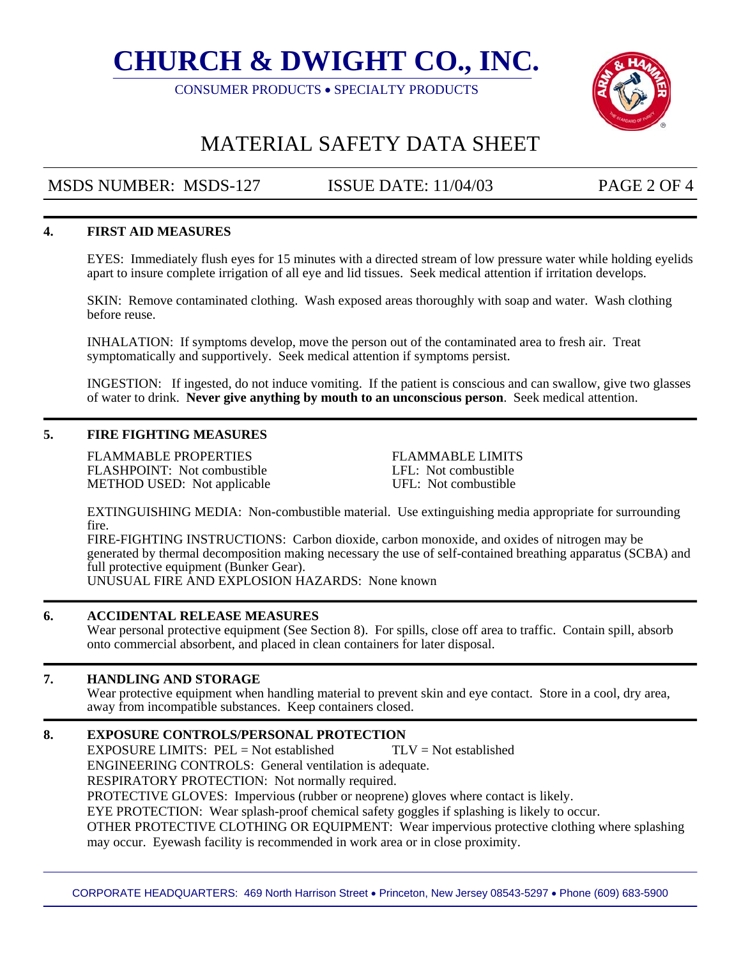CONSUMER PRODUCTS • SPECIALTY PRODUCTS



## MATERIAL SAFETY DATA SHEET

### MSDS NUMBER: MSDS-127 ISSUE DATE: 11/04/03 PAGE 2 OF 4

### **4. FIRST AID MEASURES**

EYES: Immediately flush eyes for 15 minutes with a directed stream of low pressure water while holding eyelids apart to insure complete irrigation of all eye and lid tissues. Seek medical attention if irritation develops.

SKIN: Remove contaminated clothing. Wash exposed areas thoroughly with soap and water. Wash clothing before reuse.

INHALATION: If symptoms develop, move the person out of the contaminated area to fresh air. Treat symptomatically and supportively. Seek medical attention if symptoms persist.

INGESTION: If ingested, do not induce vomiting. If the patient is conscious and can swallow, give two glasses of water to drink. **Never give anything by mouth to an unconscious person**. Seek medical attention.

#### **5. FIRE FIGHTING MEASURES**

FLAMMABLE PROPERTIES FLAMMABLE LIMITS FLASHPOINT: Not combustible LFL: Not combustible METHOD USED: Not applicable UFL: Not combustible

EXTINGUISHING MEDIA: Non-combustible material. Use extinguishing media appropriate for surrounding fire.

FIRE-FIGHTING INSTRUCTIONS: Carbon dioxide, carbon monoxide, and oxides of nitrogen may be generated by thermal decomposition making necessary the use of self-contained breathing apparatus (SCBA) and full protective equipment (Bunker Gear). UNUSUAL FIRE AND EXPLOSION HAZARDS: None known

### **6. ACCIDENTAL RELEASE MEASURES**

Wear personal protective equipment (See Section 8). For spills, close off area to traffic. Contain spill, absorb onto commercial absorbent, and placed in clean containers for later disposal.

### **7. HANDLING AND STORAGE**

Wear protective equipment when handling material to prevent skin and eye contact. Store in a cool, dry area, away from incompatible substances. Keep containers closed.

### **8. EXPOSURE CONTROLS/PERSONAL PROTECTION**

EXPOSURE LIMITS:  $PEL = Not$  established  $TLV = Not$  established ENGINEERING CONTROLS: General ventilation is adequate. RESPIRATORY PROTECTION: Not normally required. PROTECTIVE GLOVES: Impervious (rubber or neoprene) gloves where contact is likely. EYE PROTECTION: Wear splash-proof chemical safety goggles if splashing is likely to occur. OTHER PROTECTIVE CLOTHING OR EQUIPMENT: Wear impervious protective clothing where splashing may occur. Eyewash facility is recommended in work area or in close proximity.

CORPORATE HEADQUARTERS: 469 North Harrison Street • Princeton, New Jersey 08543-5297 • Phone (609) 683-5900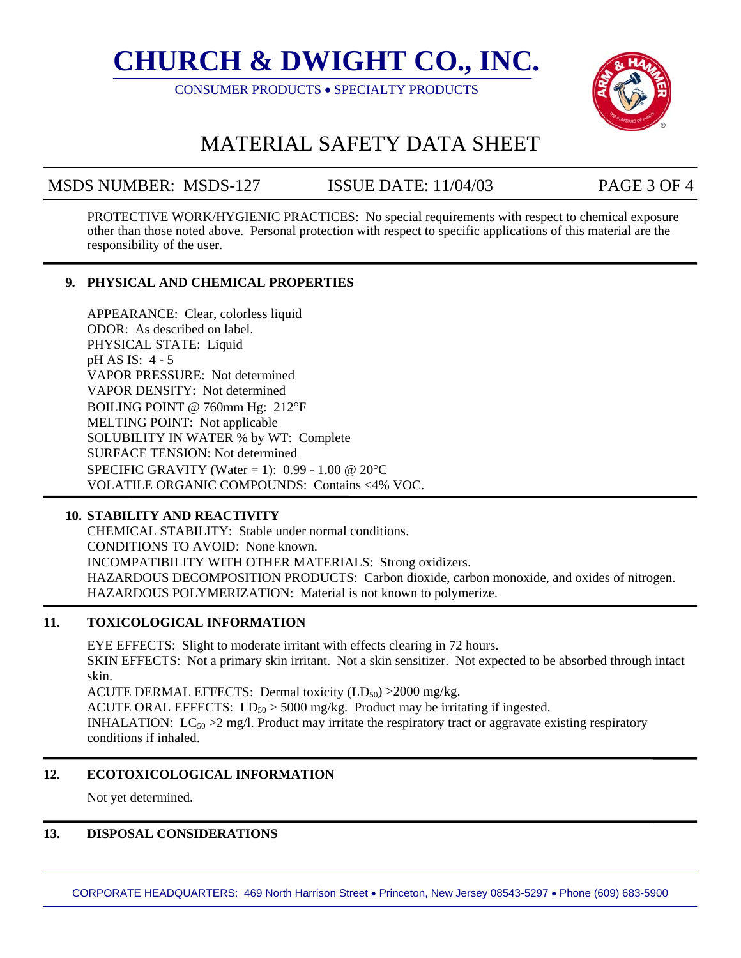CONSUMER PRODUCTS • SPECIALTY PRODUCTS



## MATERIAL SAFETY DATA SHEET

### MSDS NUMBER: MSDS-127 ISSUE DATE: 11/04/03 PAGE 3 OF 4

PROTECTIVE WORK/HYGIENIC PRACTICES: No special requirements with respect to chemical exposure other than those noted above. Personal protection with respect to specific applications of this material are the responsibility of the user.

### **9. PHYSICAL AND CHEMICAL PROPERTIES**

APPEARANCE: Clear, colorless liquid ODOR: As described on label. PHYSICAL STATE: Liquid pH AS IS: 4 - 5 VAPOR PRESSURE: Not determined VAPOR DENSITY: Not determined BOILING POINT @ 760mm Hg: 212°F MELTING POINT: Not applicable SOLUBILITY IN WATER % by WT: Complete SURFACE TENSION: Not determined SPECIFIC GRAVITY (Water = 1):  $0.99 - 1.00 \ @ \ 20^{\circ}C$ VOLATILE ORGANIC COMPOUNDS: Contains <4% VOC.

### **10. STABILITY AND REACTIVITY**

CHEMICAL STABILITY: Stable under normal conditions. CONDITIONS TO AVOID: None known. INCOMPATIBILITY WITH OTHER MATERIALS: Strong oxidizers. HAZARDOUS DECOMPOSITION PRODUCTS: Carbon dioxide, carbon monoxide, and oxides of nitrogen. HAZARDOUS POLYMERIZATION: Material is not known to polymerize.

### **11. TOXICOLOGICAL INFORMATION**

EYE EFFECTS: Slight to moderate irritant with effects clearing in 72 hours. SKIN EFFECTS: Not a primary skin irritant. Not a skin sensitizer. Not expected to be absorbed through intact skin. ACUTE DERMAL EFFECTS: Dermal toxicity  $(LD_{50}) > 2000$  mg/kg. ACUTE ORAL EFFECTS:  $LD_{50} > 5000$  mg/kg. Product may be irritating if ingested. INHALATION:  $LC_{50} > 2$  mg/l. Product may irritate the respiratory tract or aggravate existing respiratory conditions if inhaled.

### **12. ECOTOXICOLOGICAL INFORMATION**

Not yet determined.

#### **13. DISPOSAL CONSIDERATIONS**

CORPORATE HEADQUARTERS: 469 North Harrison Street • Princeton, New Jersey 08543-5297 • Phone (609) 683-5900